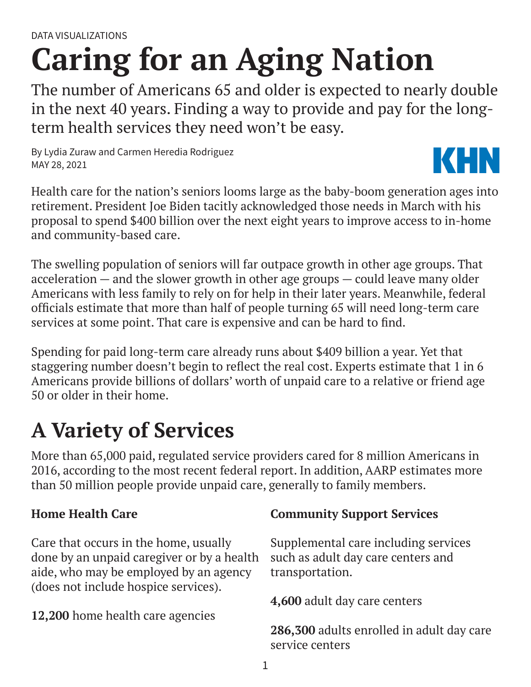# **Caring for an Aging Nation**

The number of Americans 65 and older is expected to nearly double in the next 40 years. Finding a way to provide and pay for the longterm health services they need won't be easy.

By Lydia Zuraw and Carmen Heredia Rodriguez MAY 28, 2021



Health care for the nation's seniors looms large as the baby-boom generation ages into retirement. President Joe Biden tacitly acknowledged those needs in March with his proposal to spend \$400 billion over the next eight years to improve access to in-home and community-based care.

The swelling population of seniors will far outpace growth in other age groups. That acceleration — and the slower growth in other age groups — could leave many older Americans with less family to rely on for help in their later years. Meanwhile, federal officials estimate that more than half of people turning 65 will need long-term care services at some point. That care is expensive and can be hard to find.

Spending for paid long-term care already runs about \$409 billion a year. Yet that staggering number doesn't begin to reflect the real cost. Experts estimate that 1 in 6 Americans provide billions of dollars' worth of unpaid care to a relative or friend age 50 or older in their home.

# **A Variety of Services**

More than 65,000 paid, regulated service providers cared for 8 million Americans in 2016, according to the most recent federal report. In addition, AARP estimates more than 50 million people provide unpaid care, generally to family members.

### **Home Health Care**

Care that occurs in the home, usually done by an unpaid caregiver or by a health aide, who may be employed by an agency (does not include hospice services).

**12,200** home health care agencies

### **Community Support Services**

Supplemental care including services such as adult day care centers and transportation.

**4,600** adult day care centers

**286,300** adults enrolled in adult day care service centers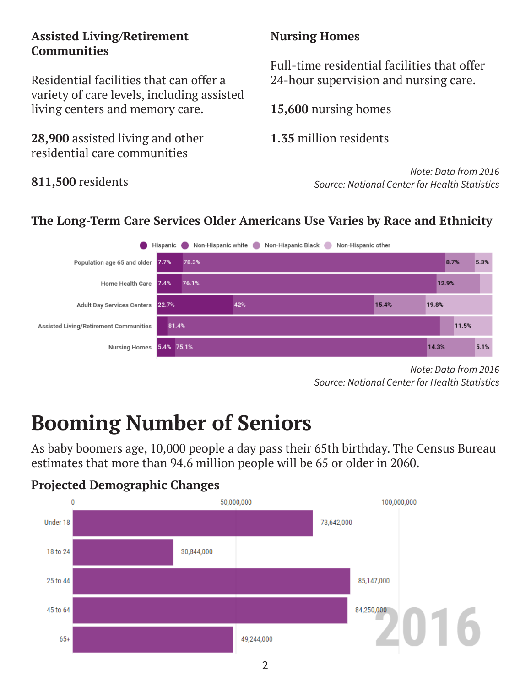#### **Assisted Living/Retirement Communities**

Residential facilities that can offer a variety of care levels, including assisted living centers and memory care.

**28,900** assisted living and other residential care communities

### **811,500** residents

### **Nursing Homes**

Full-time residential facilities that offer 24-hour supervision and nursing care.

**15,600** nursing homes

**1.35** million residents

*Note: Data from 2016 Source: National Center for Health Statistics*

### **The Long-Term Care Services Older Americans Use Varies by Race and Ethnicity**



*Note: Data from 2016 Source: National Center for Health Statistics*

# **Booming Number of Seniors**

As baby boomers age, 10,000 people a day pass their 65th birthday. The Census Bureau estimates that more than 94.6 million people will be 65 or older in 2060.

#### **Projected Demographic Changes**

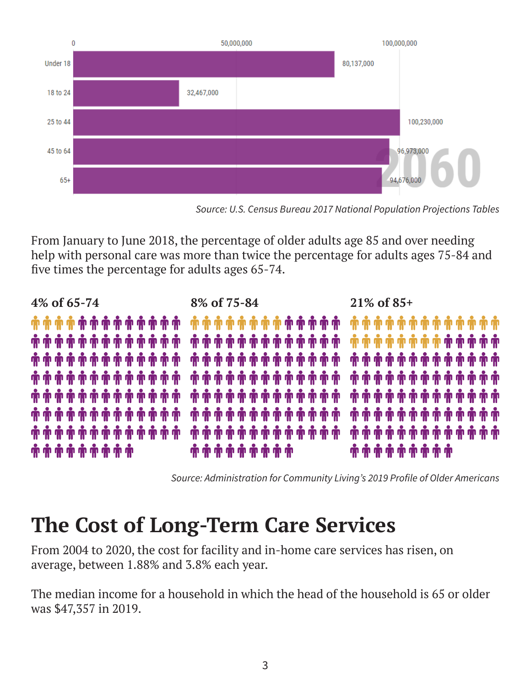

*Source: U.S. Census Bureau 2017 National Population Projections Tables*

From January to June 2018, the percentage of older adults age 85 and over needing help with personal care was more than twice the percentage for adults ages 75-84 and five times the percentage for adults ages 65-74.



*Source: Administration for Community Living's 2019 Profile of Older Americans*

### **The Cost of Long-Term Care Services**

From 2004 to 2020, the cost for facility and in-home care services has risen, on average, between 1.88% and 3.8% each year.

The median income for a household in which the head of the household is 65 or older was \$47,357 in 2019.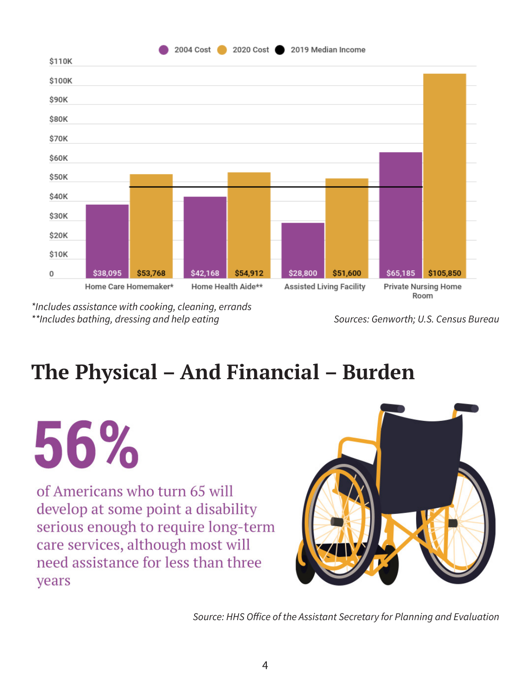

*\*Includes assistance with cooking, cleaning, errands \*\*Includes bathing, dressing and help eating*

*Sources: Genworth; U.S. Census Bureau*

# **The Physical – And Financial – Burden**

56% of Americans who turn 65 will develop at some point a disability serious enough to require long-term care services, although most will need assistance for less than three years



*Source: HHS Office of the Assistant Secretary for Planning and Evaluation*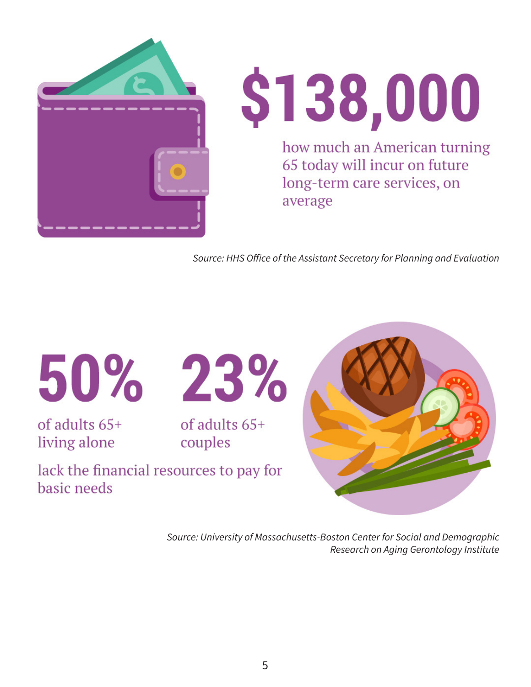



*Source: HHS Office of the Assistant Secretary for Planning and Evaluation*

of adults 65+ living alone



of adults  $65+$ couples

lack the financial resources to pay for basic needs



*Source: University of Massachusetts-Boston Center for Social and Demographic Research on Aging Gerontology Institute*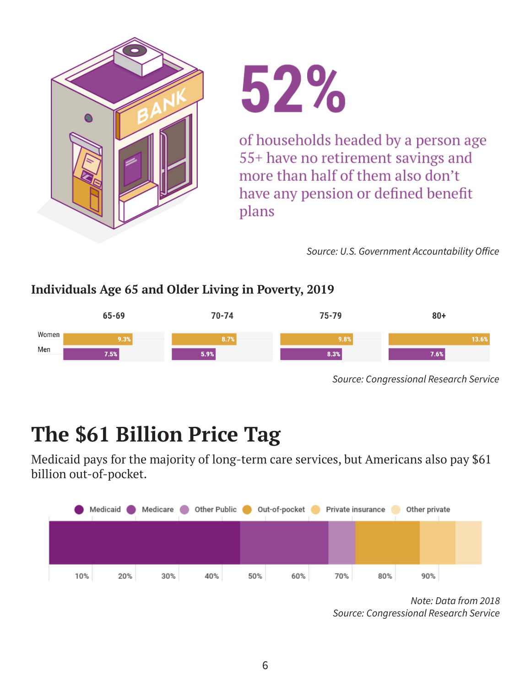



of households headed by a person age 55+ have no retirement savings and more than half of them also don't have any pension or defined benefit plans

*Source: U.S. Government Accountability Office*

#### **Individuals Age 65 and Older Living in Poverty, 2019**



*Source: Congressional Research Service*

# **The \$61 Billion Price Tag**

Medicaid pays for the majority of long-term care services, but Americans also pay \$61 billion out-of-pocket.



*Note: Data from 2018 Source: Congressional Research Service*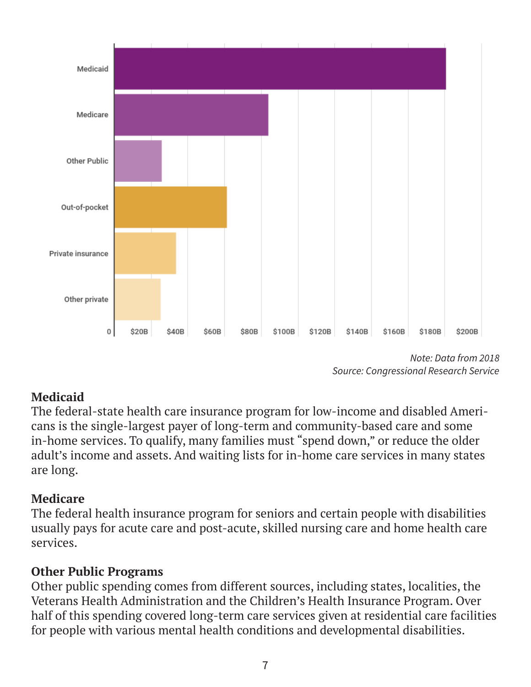

*Note: Data from 2018 Source: Congressional Research Service*

### **Medicaid**

The federal-state health care insurance program for low-income and disabled Americans is the single-largest payer of long-term and community-based care and some in-home services. To qualify, many families must "spend down," or reduce the older adult's income and assets. And waiting lists for in-home care services in many states are long.

### **Medicare**

The federal health insurance program for seniors and certain people with disabilities usually pays for acute care and post-acute, skilled nursing care and home health care services.

### **Other Public Programs**

Other public spending comes from different sources, including states, localities, the Veterans Health Administration and the Children's Health Insurance Program. Over half of this spending covered long-term care services given at residential care facilities for people with various mental health conditions and developmental disabilities.